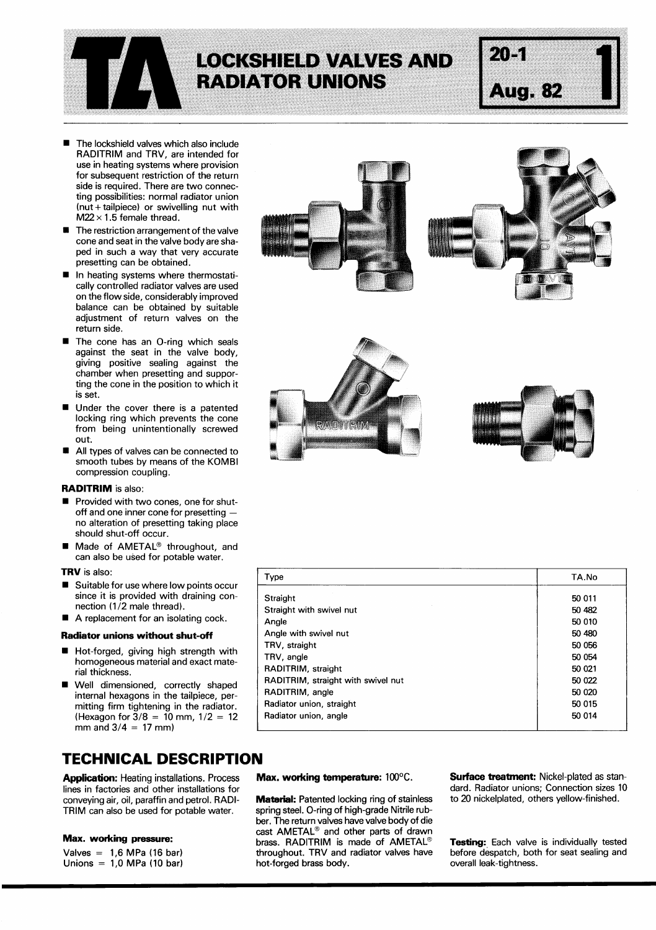

# **LOCKSHIELD VALVES AND RADIATOR UNIONS**

# **Aug. 82**

 $20 - 1$ 

- **I** The lockshield valves which also include RADITRIM and TRV, are intended for use in heating systems where provision for subsequent restriction of the return side is required. There are two connec-<br>ting possibilities: normal radiator union<br>(nut + tailpiece) or swivelling nut with<br> $M22 \times 1.5$  female thread.<br>The restriction arrangement of the valve<br>cone and seat in the valve bod ting possibilities: normal radiator union (nut + tailpiece) or swivelling nut with  $M22 \times 1.5$  female thread.
- cone and seat in the valve body are shaped in such a way that very accurate presetting can be obtained.
- $\blacksquare$ In heating systems where thermostatically controlled radiator valves are used on the flow side, considerably improved balance can be obtained by suitable adjustment of return valves on the return side.
- The cone has an O-ring which seals against the seat in the valve body, giving positive sealing against the chamber when presetting and supporting the cone in the position to which it is set.
- $\blacksquare$  Under the cover there is a patented locking ring which prevents the cone from being unintentionally screwed<br> **■** All types of valves can be connected to<br>
■ All types of valves can be connected to<br>
small types by means of the KOMBL out.
- smooth tubes by means of the KOMBI compression coupling.

## **RADITRIM** is also:

- **Example 5 or vices on the connected to**<br>
smooth tubes by means of the KOMBI<br>
compression coupling.<br> **RADITRIM** is also:<br>
 Provided with two cones, one for shut-<br>
off and one inner cone for presetting —<br>
no alteration of no alteration of presetting taking place should shut-off occur.
- can also be used for potable water. ■ Made of AMETAL<sup>®</sup> throughout, and<br>can also be used for potable water.<br>**TRV** is also:<br>■ Suitable for use where low points occur

## **TRV** is also:

- since it is provided with draining connection (1/2 male thread).
- A replacement for an isolating cock.

#### **Radiator unions without shut-off**

- **i** Hot-forged, giving high strength with homogeneous material and exact material thickness.
- **i** Well dimensioned, correctly shaped internal hexagons in the tailpiece, permitting firm tightening in the radiator. (Hexagon for  $3/8 = 10$  mm,  $1/2 = 12$ mm and  $3/4 = 17$  mm)

# **TECHNICAL DESCRIPTION**

lines in factories and other installations for<br>conveying air, oil, paraffin and petrol. RADI-<br>**Material:** Patented locking ring of stainless conveying air, oil, paraffin and petrol. RADI-**Material:** Patented locking ring of stainless to 20 nickelplated, others yellow-finished.<br>TRIM can also be used for potable water. spring steel. O-ring of high-grade Nitrile r TRIM can also be used for potable water.

Unions =  $1,0$  MPa (10 bar)









| Type                               | TA.No  |
|------------------------------------|--------|
| Straight                           | 50 011 |
| Straight with swivel nut           | 50 482 |
| Angle                              | 50 010 |
| Angle with swivel nut              | 50 480 |
| TRV, straight                      | 50 056 |
| TRV, angle                         | 50 054 |
| RADITRIM, straight                 | 50 021 |
| RADITRIM, straight with swivel nut | 50 022 |
| RADITRIM, angle                    | 50 020 |
| Radiator union, straight           | 50 015 |
| Radiator union, angle              | 50 014 |
|                                    |        |

ber. The return valves have valve body of die<br>cast AMETAL<sup>®</sup> and other parts of drawn **Max. working pressure:** brass. RADITRIM is made of AMETAL<sup>®</sup> **Testing:** Each valve is individually tested valves = 1,6 MPa (16 bar) throughout. TRV and radiator valves have before despatch, both for seat sealing and throughout. TRV and radiator valves have before despatch, both for seat sealing and<br>hot-forged brass body. exercise overall leak-tightness.

**Application:** Heating installations. Process **Max. working temperature:** 100°C. **Surface treatment:** Nickel-plated as stan-<br>Iines in factories and other installations for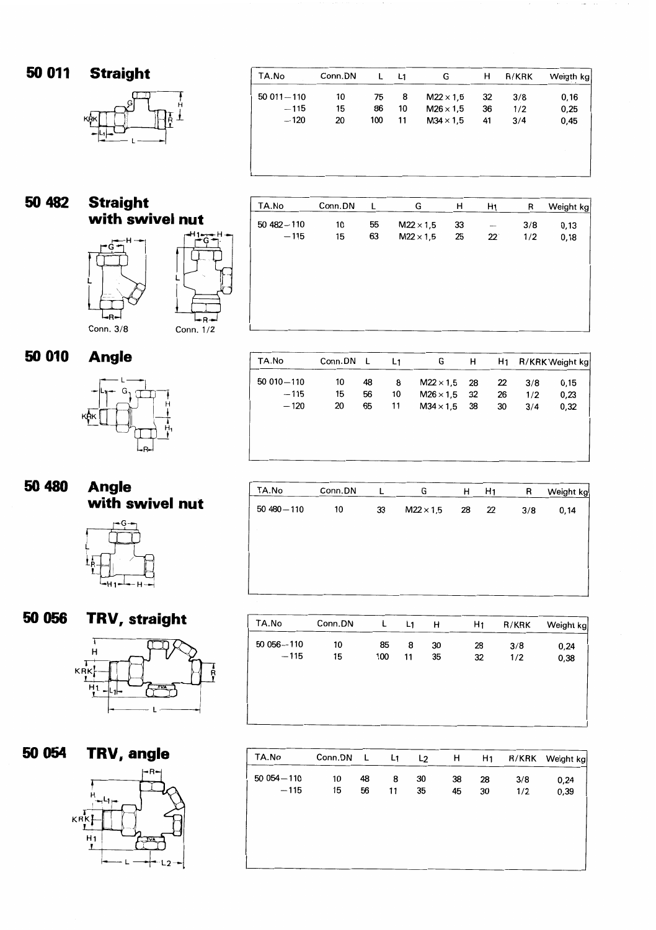50 011 **Straight** 



| TA.No         | Conn.DN | L   | L1 | G                | н  | R/KRK | Weigth kg |
|---------------|---------|-----|----|------------------|----|-------|-----------|
| $50011 - 110$ | 10      | 75  | 8  | $M22 \times 1.5$ | 32 | 3/8   | 0,16      |
| $-115$        | 15      | 86  | 10 | $M26 \times 1.5$ | 36 | 1/2   | 0,25      |
| $-120$        | 20      | 100 | 11 | $M34 \times 1.5$ | 41 | 3/4   | 0,45      |
|               |         |     |    |                  |    |       |           |
|               |         |     |    |                  |    |       |           |
|               |         |     |    |                  |    |       |           |
|               |         |     |    |                  |    |       |           |

#### **Straight**  50 482 **with swivel nut**



TA.No

50 010 - 110

 $-115$ 

 $-120$ 

Conn.DN L

48

56

65

10

15

20

| TA.No         | Conn.DN | L  | G                | н  | H <sub>1</sub> | R   | Weight kg |
|---------------|---------|----|------------------|----|----------------|-----|-----------|
| $50482 - 110$ | 10      | 55 | $M22 \times 1,5$ | 33 |                | 3/8 | 0,13      |
| $-115$        | 15      | 63 | $M22 \times 1,5$ | 25 | $22^{\circ}$   | 1/2 | 0,18      |
|               |         |    |                  |    |                |     |           |
|               |         |    |                  |    |                |     |           |
|               |         |    |                  |    |                |     |           |
|               |         |    |                  |    |                |     |           |
|               |         |    |                  |    |                |     |           |
|               |         |    |                  |    |                |     |           |

G

 $M22 \times 1,5$ 

 $M26 \times 1,5$ 

 $M34 \times 1,5$ 

 $H$ 

28

32

38

 $H<sub>1</sub>$ 

 $\overline{22}$ 

26

30

R/KRK Weight kg

 $0, 15$ 

 $0,23$ 

 $0,32$ 

 $3/8$ 

 $1/2$ 

 $3/4$ 

 $L<sub>1</sub>$ 

8

 $10<sub>10</sub>$ 

 $11$ 

50 010 **Angle** 



# **50 480 Angle with swivel nut**



| TA.No         | Conn.DN |    | G                | н  | H <sub>1</sub> | R   | Weight kg |
|---------------|---------|----|------------------|----|----------------|-----|-----------|
| $50480 - 110$ | 10      | 33 | $M22 \times 1,5$ | 28 | 22             | 3/8 | 0,14      |
|               |         |    |                  |    |                |     |           |
|               |         |    |                  |    |                |     |           |
|               |         |    |                  |    |                |     |           |
|               |         |    |                  |    |                |     |           |

**50 056 TRV, straight** 



**50 054 TRV, angle**   $KRK$ 

 $\overline{H}$ 1 L<sub>2</sub>

| TA.No        | Conn.DN | L   | L <sub>1</sub> | н  | H <sub>1</sub> | R/KRK | Weight kg |
|--------------|---------|-----|----------------|----|----------------|-------|-----------|
| 50 056 - 110 | 10      | 85  | 8              | 30 | 28             | 3/8   | 0,24      |
| $-115$       | 15      | 100 | 11             | 35 | 32             | 1/2   | 0,38      |
|              |         |     |                |    |                |       |           |
|              |         |     |                |    |                |       |           |
|              |         |     |                |    |                |       |           |
|              |         |     |                |    |                |       |           |

| TA.No        | Conn.DN | <b>L</b> | L1 | L <sub>2</sub> | н  | H1 | <b>R/KRK</b> | Weight kg |
|--------------|---------|----------|----|----------------|----|----|--------------|-----------|
| 50 054 - 110 | 10      | 48       | 8  | 30             | 38 | 28 | 3/8          | 0,24      |
| $-115$       | 15      | 56       | 11 | 35             | 45 | 30 | 1/2          | 0,39      |
|              |         |          |    |                |    |    |              |           |
|              |         |          |    |                |    |    |              |           |
|              |         |          |    |                |    |    |              |           |
|              |         |          |    |                |    |    |              |           |
|              |         |          |    |                |    |    |              |           |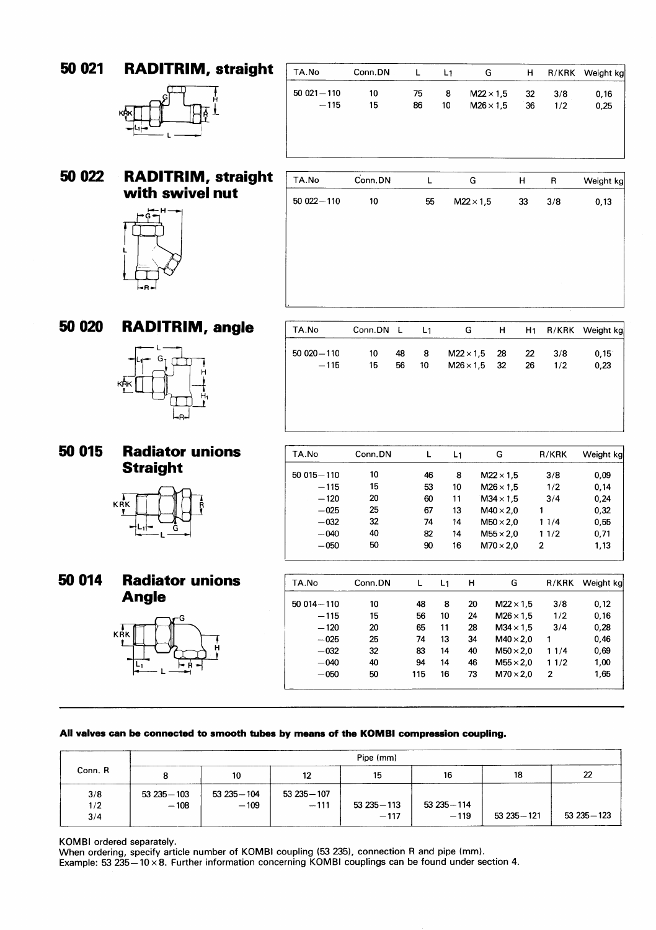**RADITRIM, straight**  50 021



| TA.No         | Conn.DN | L  | L1 | G                | н  | R/KRK | Weight kg |
|---------------|---------|----|----|------------------|----|-------|-----------|
| $50021 - 110$ | 10      | 75 | 8  | $M22 \times 1.5$ | 32 | 3/8   | 0,16      |
| $-115$        | 15      | 86 | 10 | $M26 \times 1.5$ | 36 | 1/2   | 0,25      |
|               |         |    |    |                  |    |       |           |
|               |         |    |    |                  |    |       |           |
|               |         |    |    |                  |    |       |           |
| TA.No         | Conn.DN |    |    | G                | н  | R     | Weight kg |

## 50 022 **RADITRIM, straight with swivel nut**



| TA.No         | $\dot{Conn}$ .DN | $\mathbf{I}$ | G                | н  | R   | Weight kg |
|---------------|------------------|--------------|------------------|----|-----|-----------|
| $50022 - 110$ | 10               | 55           | $M22 \times 1,5$ | 33 | 3/8 | 0, 13     |
|               |                  |              |                  |    |     |           |
|               |                  |              |                  |    |     |           |
|               |                  |              |                  |    |     |           |
|               |                  |              |                  |    |     |           |
|               |                  |              |                  |    |     |           |
|               |                  |              |                  |    |     |           |

TA.No Conn.DN L L<sub>1</sub> G H H<sub>1</sub> R/KRK Weight kg

 $M22 \times 1,5$ 

 $M26 \times 1,5$ 

28

32

 $22$ 

26

 $3/8$ 

 $1/2$ 

 $0, 15$ 

 $0,23$ 

#### **RADITRIM, angle**  50 020



# **50 015 Radiator unions Straight**



# **50 014 Radiator unions Angle**



| TA.No         | Conn.DN | L  | L <sub>1</sub> |    | G                | R/KRK        | Weight kg |
|---------------|---------|----|----------------|----|------------------|--------------|-----------|
| $50015 - 110$ | 10      | 46 | 8              |    | $M22 \times 1.5$ | 3/8          | 0,09      |
| $-115$        | 15      | 53 | 10             |    | $M26 \times 1.5$ | 1/2          | 0,14      |
| $-120$        | 20      | 60 | 11             |    | $M34 \times 1.5$ | 3/4          | 0,24      |
| $-025$        | 25      | 67 | 13             |    | $M40 \times 2,0$ | 1            | 0,32      |
| $-032$        | 32      | 74 | 14             |    | $M50 \times 2.0$ | 11/4         | 0,55      |
| $-040$        | 40      | 82 | 14             |    | $M55 \times 2.0$ | 11/2         | 0,71      |
| $-050$        | 50      | 90 | 16             |    | $M70 \times 2,0$ | $\mathbf{2}$ | 1,13      |
| TA.No         | Conn.DN | L  | L <sub>1</sub> | н  | G                | R/KRK        | Weight kg |
| $50014 - 110$ | 10      | 48 | 8              | 20 | $M22 \times 1,5$ | 3/8          | 0,12      |
| $-115$        | 15      | 56 | 10             | 24 | $M26 \times 1,5$ | 1/2          | 0,16      |
| $-120$        | 20.     | 65 | 11             | 28 | $M34 \times 1.5$ | 3/4          | 0.28      |

| TA.No         | Conn.DN |     | L1 | н  | G                | R/KRK | Weight kg |
|---------------|---------|-----|----|----|------------------|-------|-----------|
| $50014 - 110$ | 10      | 48  | 8  | 20 | $M22 \times 1.5$ | 3/8   | 0.12      |
| $-115$        | 15      | 56  | 10 | 24 | $M26 \times 1.5$ | 1/2   | 0.16      |
| $-120$        | 20      | 65  | 11 | 28 | $M34 \times 1.5$ | 3/4   | 0.28      |
| $-025$        | 25      | 74  | 13 | 34 | $M40 \times 2.0$ | 1     | 0.46      |
| $-032$        | 32      | 83  | 14 | 40 | $M50 \times 2.0$ | 11/4  | 0,69      |
| $-040$        | 40      | 94  | 14 | 46 | $M55 \times 2.0$ | 11/2  | 1,00      |
| $-050$        | 50      | 115 | 16 | 73 | $M70 \times 2.0$ | 2     | 1,65      |

 $50020 - 110$ 

 $-115$ 

 $10$ 

15

48

56

8

 $10$ 

|         |               |               |               | Pipe (mm)     |              |               |               |
|---------|---------------|---------------|---------------|---------------|--------------|---------------|---------------|
| Conn. R |               | 10            | 12            | 15            | 16           | 18            | 22            |
| 3/8     | $53235 - 103$ | $53235 - 104$ | $53235 - 107$ |               |              |               |               |
| 1/2     | $-108$        | $-109$        | $-111$        | $53235 - 113$ | 53 235 - 114 |               |               |
| 3/4     |               |               |               | $-117$        | $-119$       | $53235 - 121$ | $53235 - 123$ |

**KOMBI ordered separately.** 

**When ordering, specify article number of KOMBI coupling (53 235), connection R and pipe (mm).** 

Example: 53 235-10 x 8. Further information concerning KOMBI couplings can be found under section 4.